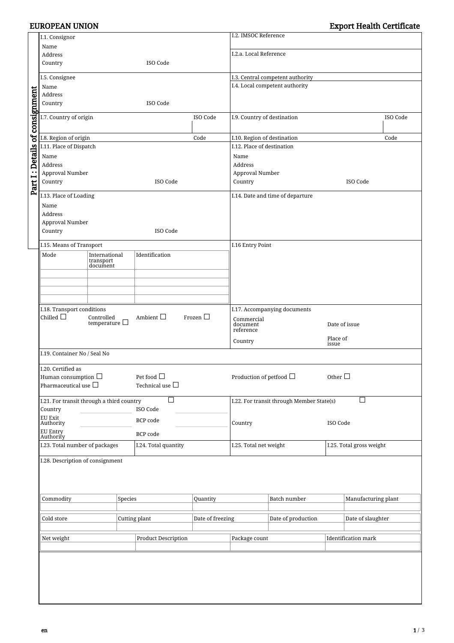|                                | I.1. Consignor                                        |                                     |                            |                                         |                                                  | I.2. IMSOC Reference                                                    |                            |                          |                     |  |
|--------------------------------|-------------------------------------------------------|-------------------------------------|----------------------------|-----------------------------------------|--------------------------------------------------|-------------------------------------------------------------------------|----------------------------|--------------------------|---------------------|--|
|                                | Name                                                  |                                     |                            |                                         |                                                  |                                                                         |                            |                          |                     |  |
|                                | Address<br>Country                                    |                                     |                            | ISO Code                                |                                                  | I.2.a. Local Reference                                                  |                            |                          |                     |  |
|                                |                                                       |                                     |                            |                                         |                                                  |                                                                         |                            |                          |                     |  |
|                                | I.5. Consignee                                        |                                     |                            |                                         |                                                  | I.3. Central competent authority                                        |                            |                          |                     |  |
|                                | Name                                                  |                                     |                            |                                         |                                                  | I.4. Local competent authority                                          |                            |                          |                     |  |
|                                | Address<br>Country<br>ISO Code                        |                                     |                            |                                         |                                                  |                                                                         |                            |                          |                     |  |
|                                |                                                       |                                     |                            |                                         |                                                  |                                                                         |                            |                          |                     |  |
| Part I: Details of consignment | I.7. Country of origin                                |                                     |                            |                                         | ISO Code                                         | I.9. Country of destination                                             |                            |                          | ISO Code            |  |
|                                |                                                       |                                     |                            |                                         |                                                  | I.10. Region of destination                                             |                            |                          |                     |  |
|                                | I.8. Region of origin<br>I.11. Place of Dispatch      |                                     |                            |                                         | Code                                             | I.12. Place of destination                                              |                            |                          | Code                |  |
|                                | Name                                                  |                                     |                            |                                         |                                                  | Name                                                                    |                            |                          |                     |  |
|                                | Address                                               |                                     |                            |                                         |                                                  | Address                                                                 |                            |                          |                     |  |
|                                | Approval Number                                       |                                     |                            |                                         |                                                  | Approval Number                                                         |                            |                          |                     |  |
|                                | Country                                               |                                     |                            | ISO Code                                |                                                  | Country                                                                 |                            |                          | ISO Code            |  |
|                                | I.13. Place of Loading                                |                                     |                            |                                         |                                                  | I.14. Date and time of departure                                        |                            |                          |                     |  |
|                                | Name                                                  |                                     |                            |                                         |                                                  |                                                                         |                            |                          |                     |  |
|                                | Address                                               |                                     |                            |                                         |                                                  |                                                                         |                            |                          |                     |  |
|                                | Approval Number                                       |                                     |                            |                                         |                                                  |                                                                         |                            |                          |                     |  |
|                                | Country                                               |                                     |                            | ISO Code                                |                                                  |                                                                         |                            |                          |                     |  |
|                                | I.15. Means of Transport                              |                                     |                            |                                         |                                                  | I.16 Entry Point                                                        |                            |                          |                     |  |
|                                | Mode                                                  | International<br>transport          |                            | Identification                          |                                                  |                                                                         |                            |                          |                     |  |
|                                |                                                       | document                            |                            |                                         |                                                  |                                                                         |                            |                          |                     |  |
|                                |                                                       |                                     |                            |                                         |                                                  |                                                                         |                            |                          |                     |  |
|                                |                                                       |                                     |                            |                                         |                                                  |                                                                         |                            |                          |                     |  |
|                                |                                                       |                                     |                            |                                         |                                                  |                                                                         |                            |                          |                     |  |
|                                | I.18. Transport conditions                            |                                     |                            |                                         | Frozen $\Box$                                    | I.17. Accompanying documents<br>Commercial<br>Date of issue<br>document |                            |                          |                     |  |
|                                | Chilled $\Box$                                        | Controlled<br>temperature $\square$ |                            | Ambient $\Box$                          |                                                  |                                                                         |                            |                          |                     |  |
|                                |                                                       |                                     |                            |                                         |                                                  |                                                                         | reference                  |                          | Place of            |  |
|                                |                                                       |                                     |                            |                                         | Country                                          |                                                                         | issue                      |                          |                     |  |
|                                | I.19. Container No / Seal No                          |                                     |                            |                                         |                                                  |                                                                         |                            |                          |                     |  |
|                                | I.20. Certified as                                    |                                     |                            |                                         |                                                  |                                                                         |                            |                          |                     |  |
|                                | Human consumption $\Box$<br>Pharmaceutical use $\Box$ |                                     |                            | Pet food $\Box$<br>Technical use $\Box$ |                                                  | Production of petfood $\Box$                                            |                            | Other $\square$          |                     |  |
|                                |                                                       |                                     |                            |                                         |                                                  |                                                                         |                            |                          |                     |  |
|                                | I.21. For transit through a third country             |                                     |                            |                                         | I.22. For transit through Member State(s)<br>n l |                                                                         |                            |                          |                     |  |
|                                | Country                                               | ISO Code                            |                            |                                         |                                                  |                                                                         |                            |                          |                     |  |
|                                | <b>EU Exit</b><br>Authority                           |                                     |                            | BCP code                                |                                                  | Country                                                                 |                            | ISO Code                 |                     |  |
|                                | <b>EU Entry</b><br>BCP code<br>Authority              |                                     |                            |                                         |                                                  |                                                                         |                            |                          |                     |  |
|                                | I.23. Total number of packages                        |                                     |                            | I.24. Total quantity                    |                                                  | I.25. Total net weight                                                  |                            | I.25. Total gross weight |                     |  |
|                                | I.28. Description of consignment                      |                                     |                            |                                         |                                                  |                                                                         |                            |                          |                     |  |
|                                |                                                       |                                     |                            |                                         |                                                  |                                                                         |                            |                          |                     |  |
|                                |                                                       |                                     |                            |                                         |                                                  |                                                                         |                            |                          |                     |  |
|                                |                                                       |                                     |                            |                                         |                                                  |                                                                         |                            |                          |                     |  |
|                                | Commodity<br>Species                                  |                                     |                            | Quantity                                |                                                  |                                                                         | Batch number               |                          | Manufacturing plant |  |
|                                |                                                       |                                     |                            |                                         |                                                  |                                                                         |                            |                          |                     |  |
|                                | Cold store                                            |                                     |                            | Cutting plant                           | Date of freezing                                 |                                                                         | Date of production         |                          | Date of slaughter   |  |
|                                |                                                       |                                     |                            |                                         |                                                  |                                                                         |                            |                          |                     |  |
|                                | Net weight                                            |                                     | <b>Product Description</b> |                                         | Package count                                    |                                                                         | <b>Identification mark</b> |                          |                     |  |
|                                |                                                       |                                     |                            |                                         |                                                  |                                                                         |                            |                          |                     |  |
|                                |                                                       |                                     |                            |                                         |                                                  |                                                                         |                            |                          |                     |  |
|                                |                                                       |                                     |                            |                                         |                                                  |                                                                         |                            |                          |                     |  |
|                                |                                                       |                                     |                            |                                         |                                                  |                                                                         |                            |                          |                     |  |
|                                |                                                       |                                     |                            |                                         |                                                  |                                                                         |                            |                          |                     |  |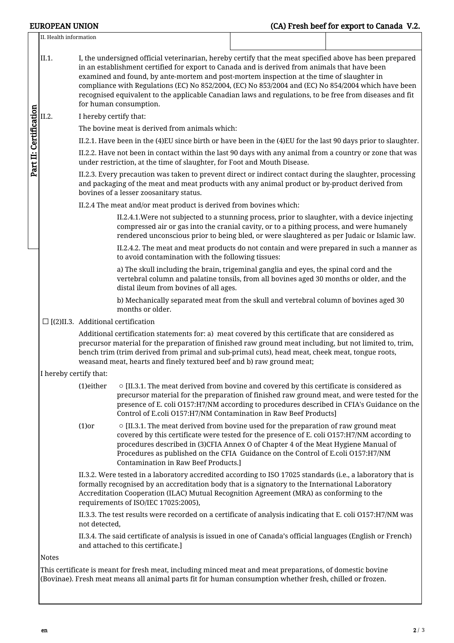|                                                                                                                                                                                                                       | II. Health information |                                                                                                                                                                                                                                                                                                                                                                                            |                                                                                                                                                                                                                                                                                                                                                                                                            |                                                                                           |  |  |  |  |  |  |
|-----------------------------------------------------------------------------------------------------------------------------------------------------------------------------------------------------------------------|------------------------|--------------------------------------------------------------------------------------------------------------------------------------------------------------------------------------------------------------------------------------------------------------------------------------------------------------------------------------------------------------------------------------------|------------------------------------------------------------------------------------------------------------------------------------------------------------------------------------------------------------------------------------------------------------------------------------------------------------------------------------------------------------------------------------------------------------|-------------------------------------------------------------------------------------------|--|--|--|--|--|--|
| Part II: Certification                                                                                                                                                                                                | II.1.                  | I, the undersigned official veterinarian, hereby certify that the meat specified above has been prepared<br>in an establishment certified for export to Canada and is derived from animals that have been<br>examined and found, by ante-mortem and post-mortem inspection at the time of slaughter in                                                                                     |                                                                                                                                                                                                                                                                                                                                                                                                            |                                                                                           |  |  |  |  |  |  |
|                                                                                                                                                                                                                       |                        | compliance with Regulations (EC) No 852/2004, (EC) No 853/2004 and (EC) No 854/2004 which have been<br>recognised equivalent to the applicable Canadian laws and regulations, to be free from diseases and fit<br>for human consumption.                                                                                                                                                   |                                                                                                                                                                                                                                                                                                                                                                                                            |                                                                                           |  |  |  |  |  |  |
|                                                                                                                                                                                                                       | II.2.                  | I hereby certify that:                                                                                                                                                                                                                                                                                                                                                                     |                                                                                                                                                                                                                                                                                                                                                                                                            |                                                                                           |  |  |  |  |  |  |
|                                                                                                                                                                                                                       |                        | The bovine meat is derived from animals which:                                                                                                                                                                                                                                                                                                                                             |                                                                                                                                                                                                                                                                                                                                                                                                            |                                                                                           |  |  |  |  |  |  |
|                                                                                                                                                                                                                       |                        | II.2.1. Have been in the (4)EU since birth or have been in the (4)EU for the last 90 days prior to slaughter.                                                                                                                                                                                                                                                                              |                                                                                                                                                                                                                                                                                                                                                                                                            |                                                                                           |  |  |  |  |  |  |
|                                                                                                                                                                                                                       |                        |                                                                                                                                                                                                                                                                                                                                                                                            | II.2.2. Have not been in contact within the last 90 days with any animal from a country or zone that was<br>under restriction, at the time of slaughter, for Foot and Mouth Disease.                                                                                                                                                                                                                       |                                                                                           |  |  |  |  |  |  |
|                                                                                                                                                                                                                       |                        | II.2.3. Every precaution was taken to prevent direct or indirect contact during the slaughter, processing<br>and packaging of the meat and meat products with any animal product or by-product derived from<br>bovines of a lesser zoosanitary status.                                                                                                                                     |                                                                                                                                                                                                                                                                                                                                                                                                            |                                                                                           |  |  |  |  |  |  |
|                                                                                                                                                                                                                       |                        | II.2.4 The meat and/or meat product is derived from bovines which:                                                                                                                                                                                                                                                                                                                         |                                                                                                                                                                                                                                                                                                                                                                                                            |                                                                                           |  |  |  |  |  |  |
|                                                                                                                                                                                                                       |                        |                                                                                                                                                                                                                                                                                                                                                                                            | II.2.4.1. Were not subjected to a stunning process, prior to slaughter, with a device injecting<br>compressed air or gas into the cranial cavity, or to a pithing process, and were humanely<br>rendered unconscious prior to being bled, or were slaughtered as per Judaic or Islamic law.                                                                                                                |                                                                                           |  |  |  |  |  |  |
|                                                                                                                                                                                                                       |                        |                                                                                                                                                                                                                                                                                                                                                                                            | to avoid contamination with the following tissues:                                                                                                                                                                                                                                                                                                                                                         | II.2.4.2. The meat and meat products do not contain and were prepared in such a manner as |  |  |  |  |  |  |
|                                                                                                                                                                                                                       |                        |                                                                                                                                                                                                                                                                                                                                                                                            | a) The skull including the brain, trigeminal ganglia and eyes, the spinal cord and the<br>vertebral column and palatine tonsils, from all bovines aged 30 months or older, and the<br>distal ileum from bovines of all ages.                                                                                                                                                                               |                                                                                           |  |  |  |  |  |  |
|                                                                                                                                                                                                                       |                        |                                                                                                                                                                                                                                                                                                                                                                                            | b) Mechanically separated meat from the skull and vertebral column of bovines aged 30<br>months or older.                                                                                                                                                                                                                                                                                                  |                                                                                           |  |  |  |  |  |  |
|                                                                                                                                                                                                                       |                        |                                                                                                                                                                                                                                                                                                                                                                                            | $\square$ [(2)II.3. Additional certification                                                                                                                                                                                                                                                                                                                                                               |                                                                                           |  |  |  |  |  |  |
|                                                                                                                                                                                                                       |                        | Additional certification statements for: a) meat covered by this certificate that are considered as<br>precursor material for the preparation of finished raw ground meat including, but not limited to, trim,<br>bench trim (trim derived from primal and sub-primal cuts), head meat, cheek meat, tongue roots,<br>weasand meat, hearts and finely textured beef and b) raw ground meat; |                                                                                                                                                                                                                                                                                                                                                                                                            |                                                                                           |  |  |  |  |  |  |
|                                                                                                                                                                                                                       | I hereby certify that: |                                                                                                                                                                                                                                                                                                                                                                                            |                                                                                                                                                                                                                                                                                                                                                                                                            |                                                                                           |  |  |  |  |  |  |
|                                                                                                                                                                                                                       |                        | (1)either                                                                                                                                                                                                                                                                                                                                                                                  | $\circ$ [II.3.1. The meat derived from bovine and covered by this certificate is considered as<br>precursor material for the preparation of finished raw ground meat, and were tested for the<br>presence of E. coli O157:H7/NM according to procedures described in CFIA's Guidance on the<br>Control of E.coli O157:H7/NM Contamination in Raw Beef Products]                                            |                                                                                           |  |  |  |  |  |  |
|                                                                                                                                                                                                                       |                        | $(1)$ or                                                                                                                                                                                                                                                                                                                                                                                   | $\circ$ [II.3.1. The meat derived from bovine used for the preparation of raw ground meat<br>covered by this certificate were tested for the presence of E. coli O157:H7/NM according to<br>procedures described in (3)CFIA Annex O of Chapter 4 of the Meat Hygiene Manual of<br>Procedures as published on the CFIA Guidance on the Control of E.coli O157:H7/NM<br>Contamination in Raw Beef Products.] |                                                                                           |  |  |  |  |  |  |
|                                                                                                                                                                                                                       |                        |                                                                                                                                                                                                                                                                                                                                                                                            | II.3.2. Were tested in a laboratory accredited according to ISO 17025 standards (i.e., a laboratory that is<br>formally recognised by an accreditation body that is a signatory to the International Laboratory<br>Accreditation Cooperation (ILAC) Mutual Recognition Agreement (MRA) as conforming to the<br>requirements of ISO/IEC 17025:2005),                                                        |                                                                                           |  |  |  |  |  |  |
|                                                                                                                                                                                                                       |                        | II.3.3. The test results were recorded on a certificate of analysis indicating that E. coli O157:H7/NM was<br>not detected,                                                                                                                                                                                                                                                                |                                                                                                                                                                                                                                                                                                                                                                                                            |                                                                                           |  |  |  |  |  |  |
|                                                                                                                                                                                                                       |                        |                                                                                                                                                                                                                                                                                                                                                                                            | II.3.4. The said certificate of analysis is issued in one of Canada's official languages (English or French)<br>and attached to this certificate.]                                                                                                                                                                                                                                                         |                                                                                           |  |  |  |  |  |  |
|                                                                                                                                                                                                                       | <b>Notes</b>           |                                                                                                                                                                                                                                                                                                                                                                                            |                                                                                                                                                                                                                                                                                                                                                                                                            |                                                                                           |  |  |  |  |  |  |
| This certificate is meant for fresh meat, including minced meat and meat preparations, of domestic bovine<br>(Bovinae). Fresh meat means all animal parts fit for human consumption whether fresh, chilled or frozen. |                        |                                                                                                                                                                                                                                                                                                                                                                                            |                                                                                                                                                                                                                                                                                                                                                                                                            |                                                                                           |  |  |  |  |  |  |
|                                                                                                                                                                                                                       |                        |                                                                                                                                                                                                                                                                                                                                                                                            |                                                                                                                                                                                                                                                                                                                                                                                                            |                                                                                           |  |  |  |  |  |  |